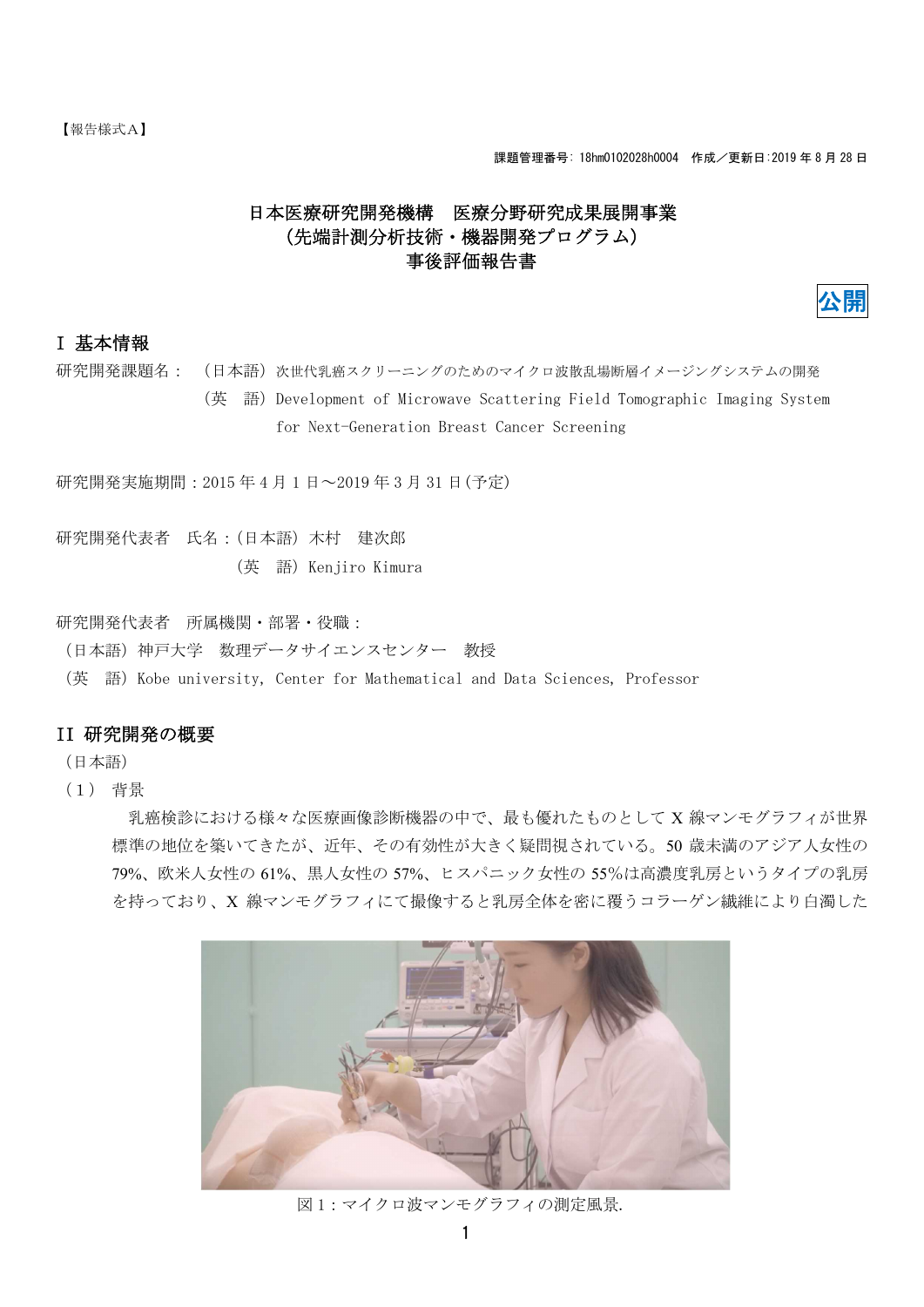# 日本医療研究開発機構 医療分野研究成果展開事業 (先端計測分析技術・機器開発プログラム) 事後評価報告書



# I 基本情報

研究開発課題名: (日本語)次世代乳癌スクリーニングのためのマイクロ波散乱場断層イメージングシステムの開発

(英 語)Development of Microwave Scattering Field Tomographic Imaging System for Next-Generation Breast Cancer Screening

研究開発実施期間:2015 年 4 月 1 日~2019 年 3 月 31 日(予定)

研究開発代表者 氏名:(日本語)木村 建次郎 (英 語)Kenjiro Kimura

研究開発代表者 所属機関・部署・役職:

(日本語)神戸大学 数理データサイエンスセンター 教授

(英 語)Kobe university, Center for Mathematical and Data Sciences, Professor

## II 研究開発の概要

(日本語)

(1) 背景

乳癌検診における様々な医療画像診断機器の中で、最も優れたものとして X 線マンモグラフィが世界 標準の地位を築いてきたが、近年、その有効性が大きく疑問視されている。50 歳未満のアジア人女性の 79%、欧米人女性の 61%、黒人女性の 57%、ヒスパニック女性の 55%は高濃度乳房というタイプの乳房 を持っており、X 線マンモグラフィにて撮像すると乳房全体を密に覆うコラーゲン繊維により白濁した



図 1:マイクロ波マンモグラフィの測定風景.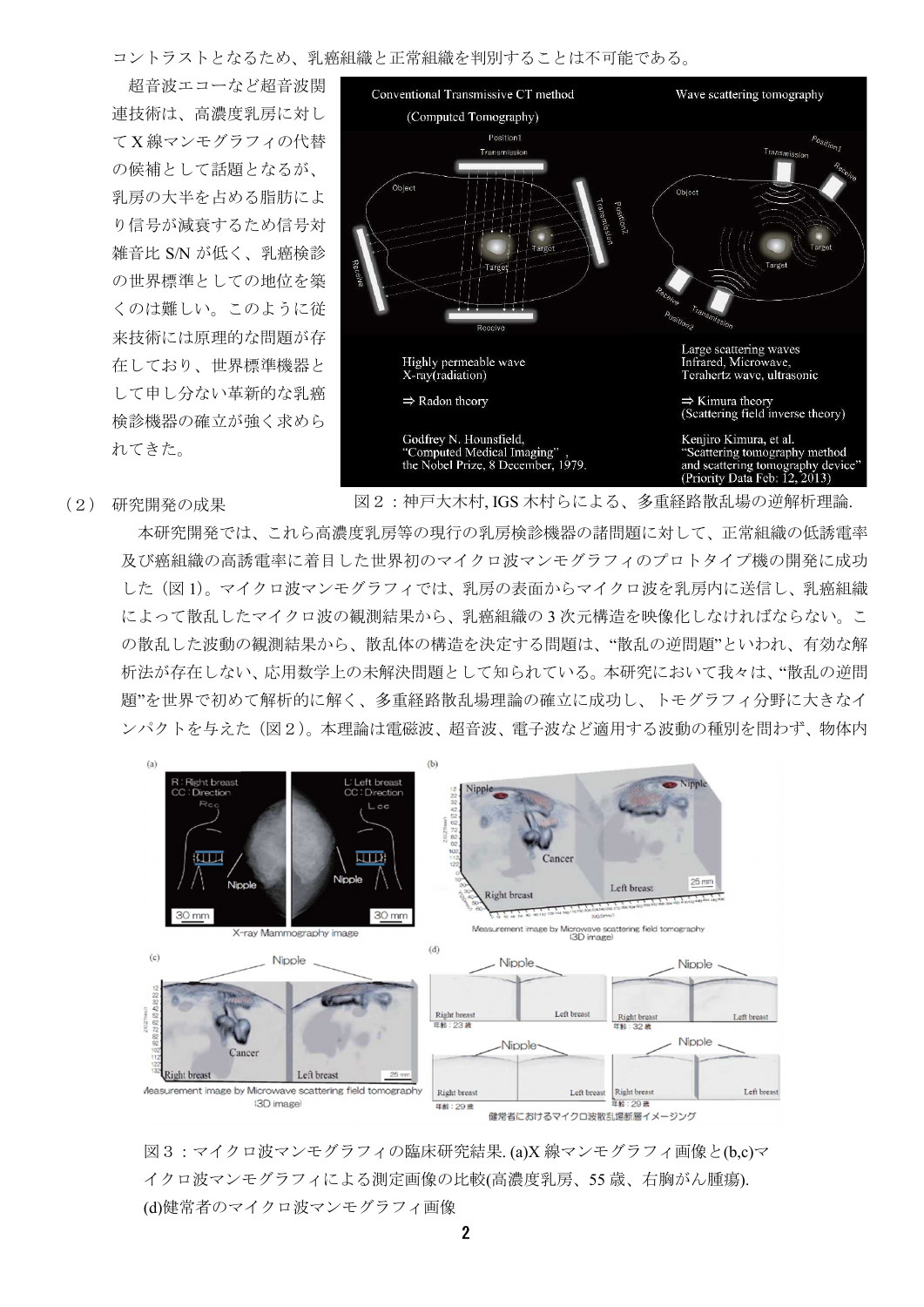コントラストとなるため、乳癌組織と正常組織を判別することは不可能である。

超音波エコーなど超音波関 連技術は、高濃度乳房に対し て X 線マンモグラフィの代替 の候補として話題となるが、 乳房の大半を占める脂肪によ り信号が減衰するため信号対 雑音比 S/N が低く、乳癌検診 の世界標準としての地位を築 くのは難しい。このように従 来技術には原理的な問題が存 在しており、世界標準機器と して申し分ない革新的な乳癌 検診機器の確立が強く求めら れてきた。



(2) 研究開発の成果

図2:神戸大木村, IGS 木村らによる、多重経路散乱場の逆解析理論.

本研究開発では、これら高濃度乳房等の現行の乳房検診機器の諸問題に対して、正常組織の低誘電率 及び癌組織の高誘電率に着目した世界初のマイクロ波マンモグラフィのプロトタイプ機の開発に成功 した(図 1)。マイクロ波マンモグラフィでは、乳房の表面からマイクロ波を乳房内に送信し、乳癌組織 によって散乱したマイクロ波の観測結果から、乳癌組織の 3 次元構造を映像化しなければならない。こ の散乱した波動の観測結果から、散乱体の構造を決定する問題は、"散乱の逆問題"といわれ、有効な解 析法が存在しない、応用数学上の未解決問題として知られている。本研究において我々は、"散乱の逆問 題"を世界で初めて解析的に解く、多重経路散乱場理論の確立に成功し、トモグラフィ分野に大きなイ ンパクトを与えた(図2)。本理論は電磁波、超音波、電子波など適用する波動の種別を問わず、物体内



図3:マイクロ波マンモグラフィの臨床研究結果. (a)X 線マンモグラフィ画像と(b,c)マ イクロ波マンモグラフィによる測定画像の比較(高濃度乳房、55 歳、右胸がん腫瘍). (d)健常者のマイクロ波マンモグラフィ画像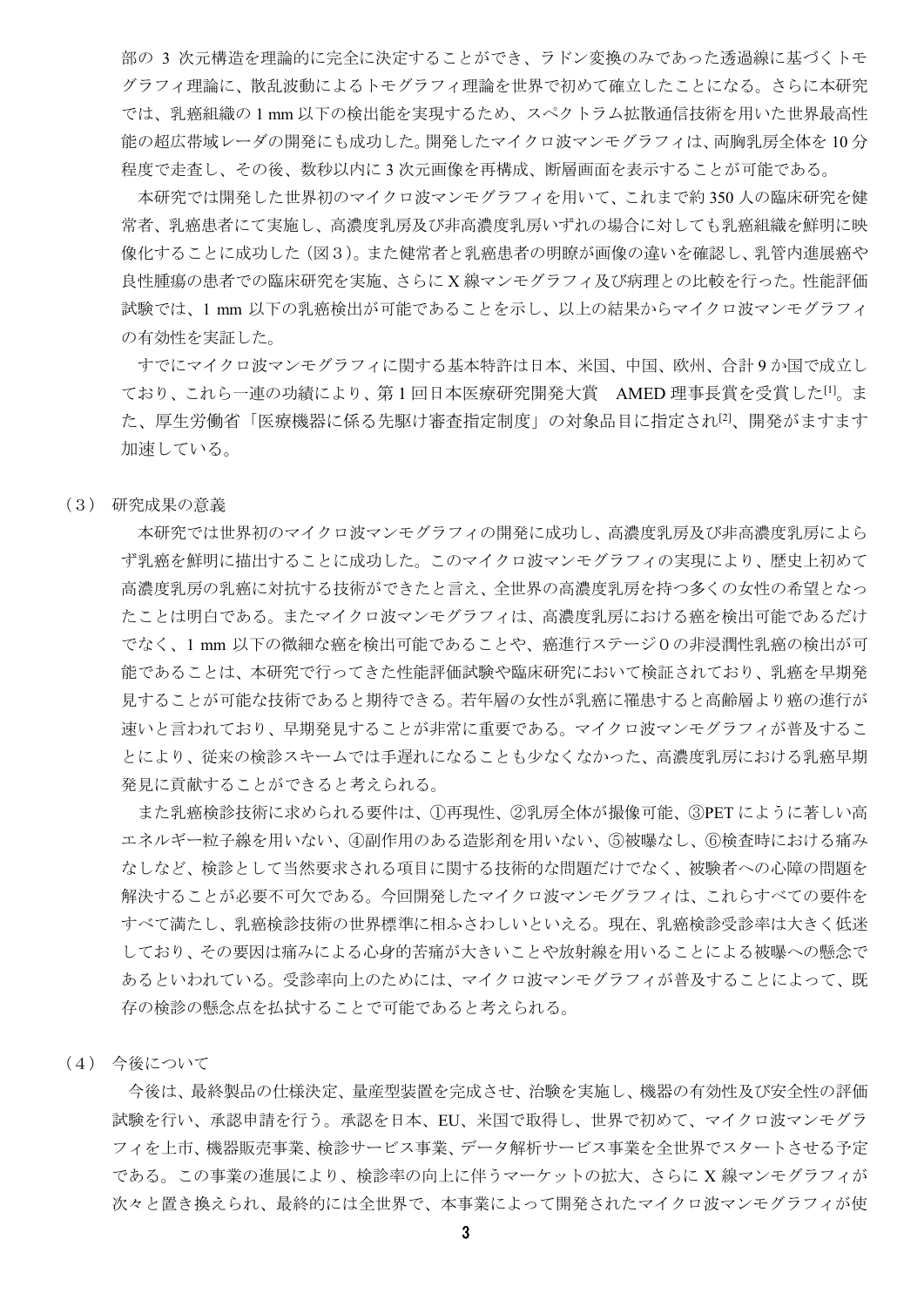部の 3 次元構造を理論的に完全に決定することができ、ラドン変換のみであった透過線に基づくトモ グラフィ理論に、散乱波動によるトモグラフィ理論を世界で初めて確立したことになる。さらに本研究 では、乳癌組織の 1 mm 以下の検出能を実現するため、スペクトラム拡散通信技術を用いた世界最高性 能の超広帯域レーダの開発にも成功した。開発したマイクロ波マンモグラフィは、両胸乳房全体を 10 分 程度で走査し、その後、数秒以内に 3 次元画像を再構成、断層画面を表示することが可能である。

本研究では開発した世界初のマイクロ波マンモグラフィを用いて、これまで約 350 人の臨床研究を健 常者、乳癌患者にて実施し、高濃度乳房及び非高濃度乳房いずれの場合に対しても乳癌組織を鮮明に映 像化することに成功した(図3)。また健常者と乳癌患者の明瞭が画像の違いを確認し、乳管内進展癌や 良性腫瘍の患者での臨床研究を実施、さらに X 線マンモグラフィ及び病理との比較を行った。性能評価 試験では、1 mm 以下の乳癌検出が可能であることを示し、以上の結果からマイクロ波マンモグラフィ の有効性を実証した。

すでにマイクロ波マンモグラフィに関する基本特許は日本、米国、中国、欧州、合計 9 か国で成立し ており、これら一連の功績により、第1回日本医療研究開発大賞 AMED 理事長賞を受賞した[1]。ま た、厚生労働省「医療機器に係る先駆け審査指定制度」の対象品目に指定され<sup>[2]</sup>、開発がますます 加速している。

#### (3) 研究成果の意義

本研究では世界初のマイクロ波マンモグラフィの開発に成功し、高濃度乳房及び非高濃度乳房によら ず乳癌を鮮明に描出することに成功した。このマイクロ波マンモグラフィの実現により、歴史上初めて 高濃度乳房の乳癌に対抗する技術ができたと言え、全世界の高濃度乳房を持つ多くの女性の希望となっ たことは明白である。またマイクロ波マンモグラフィは、高濃度乳房における癌を検出可能であるだけ でなく、1 mm 以下の微細な癌を検出可能であることや、癌進行ステージ0の非浸潤性乳癌の検出が可 能であることは、本研究で行ってきた性能評価試験や臨床研究において検証されており、乳癌を早期発 見することが可能な技術であると期待できる。若年層の女性が乳癌に罹患すると高齢層より癌の進行が 速いと言われており、早期発見することが非常に重要である。マイクロ波マンモグラフィが普及するこ とにより、従来の検診スキームでは手遅れになることも少なくなかった、高濃度乳房における乳癌早期 発見に貢献することができると考えられる。

また乳癌検診技術に求められる要件は、①再現性、②乳房全体が撮像可能、③PET にように著しい高 エネルギー粒子線を用いない、④副作用のある造影剤を用いない、⑤被曝なし、⑥検査時における痛み なしなど、検診として当然要求される項目に関する技術的な問題だけでなく、被験者への心障の問題を 解決することが必要不可欠である。今回開発したマイクロ波マンモグラフィは、これらすべての要件を すべて満たし、乳癌検診技術の世界標準に相ふさわしいといえる。現在、乳癌検診受診率は大きく低迷 しており、その要因は痛みによる心身的苦痛が大きいことや放射線を用いることによる被曝への懸念で あるといわれている。受診率向上のためには、マイクロ波マンモグラフィが普及することによって、既 存の検診の懸念点を払拭することで可能であると考えられる。

(4) 今後について

今後は、最終製品の仕様決定、量産型装置を完成させ、治験を実施し、機器の有効性及び安全性の評価 試験を行い、承認申請を行う。承認を日本、EU、米国で取得し、世界で初めて、マイクロ波マンモグラ フィを上市、機器販売事業、検診サービス事業、データ解析サービス事業を全世界でスタートさせる予定 である。この事業の進展により、検診率の向上に伴うマーケットの拡大、さらに X 線マンモグラフィが 次々と置き換えられ、最終的には全世界で、本事業によって開発されたマイクロ波マンモグラフィが使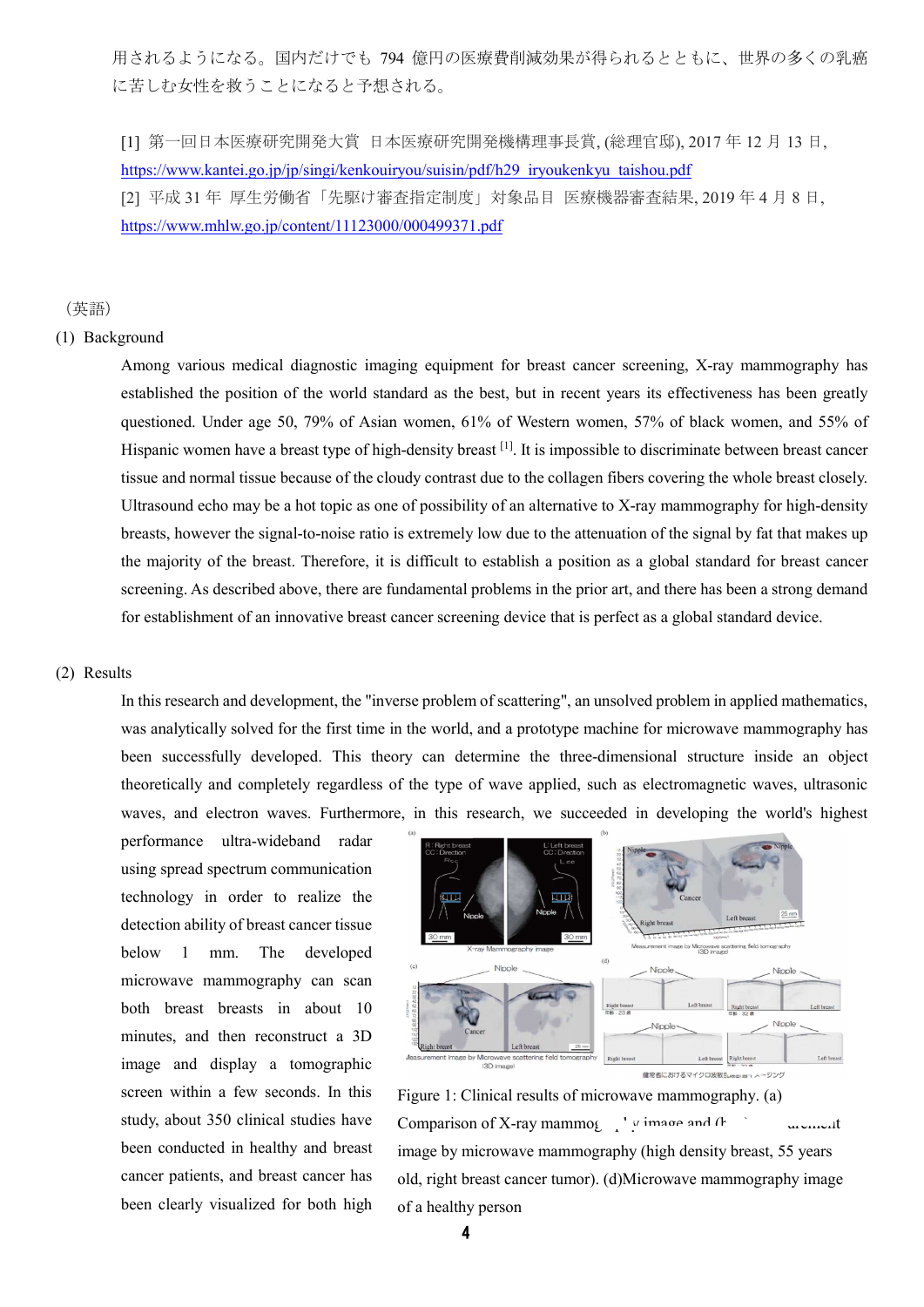用されるようになる。国内だけでも 794 億円の医療費削減効果が得られるとともに、世界の多くの乳癌 に苦しむ女性を救うことになると予想される。

[1] 第一回日本医療研究開発大賞 日本医療研究開発機構理事長賞, (総理官邸), 2017 年 12 月 13 日, https://www.kantei.go.jp/jp/singi/kenkouiryou/suisin/pdf/h29\_iryoukenkyu\_taishou.pdf [2] 平成 31 年 厚生労働省「先駆け審査指定制度」対象品目 医療機器審査結果, 2019 年 4 月 8 日, https://www.mhlw.go.jp/content/11123000/000499371.pdf

(英語)

### (1) Background

Among various medical diagnostic imaging equipment for breast cancer screening, X-ray mammography has established the position of the world standard as the best, but in recent years its effectiveness has been greatly questioned. Under age 50, 79% of Asian women, 61% of Western women, 57% of black women, and 55% of Hispanic women have a breast type of high-density breast <sup>[1]</sup>. It is impossible to discriminate between breast cancer tissue and normal tissue because of the cloudy contrast due to the collagen fibers covering the whole breast closely. Ultrasound echo may be a hot topic as one of possibility of an alternative to X-ray mammography for high-density breasts, however the signal-to-noise ratio is extremely low due to the attenuation of the signal by fat that makes up the majority of the breast. Therefore, it is difficult to establish a position as a global standard for breast cancer screening. As described above, there are fundamental problems in the prior art, and there has been a strong demand for establishment of an innovative breast cancer screening device that is perfect as a global standard device.

#### (2) Results

In this research and development, the "inverse problem of scattering", an unsolved problem in applied mathematics, was analytically solved for the first time in the world, and a prototype machine for microwave mammography has been successfully developed. This theory can determine the three-dimensional structure inside an object theoretically and completely regardless of the type of wave applied, such as electromagnetic waves, ultrasonic waves, and electron waves. Furthermore, in this research, we succeeded in developing the world's highest

performance ultra-wideband radar using spread spectrum communication technology in order to realize the detection ability of breast cancer tissue below 1 mm. The developed microwave mammography can scan both breast breasts in about 10 minutes, and then reconstruct a 3D image and display a tomographic screen within a few seconds. In this study, about 350 clinical studies have been conducted in healthy and breast cancer patients, and breast cancer has been clearly visualized for both high



Figure 1: Clinical results of microwave mammography. (a) Comparison of X-ray mammography image and  $(h_1)$  measurement image by microwave mammography (high density breast, 55 years old, right breast cancer tumor). (d)Microwave mammography image of a healthy person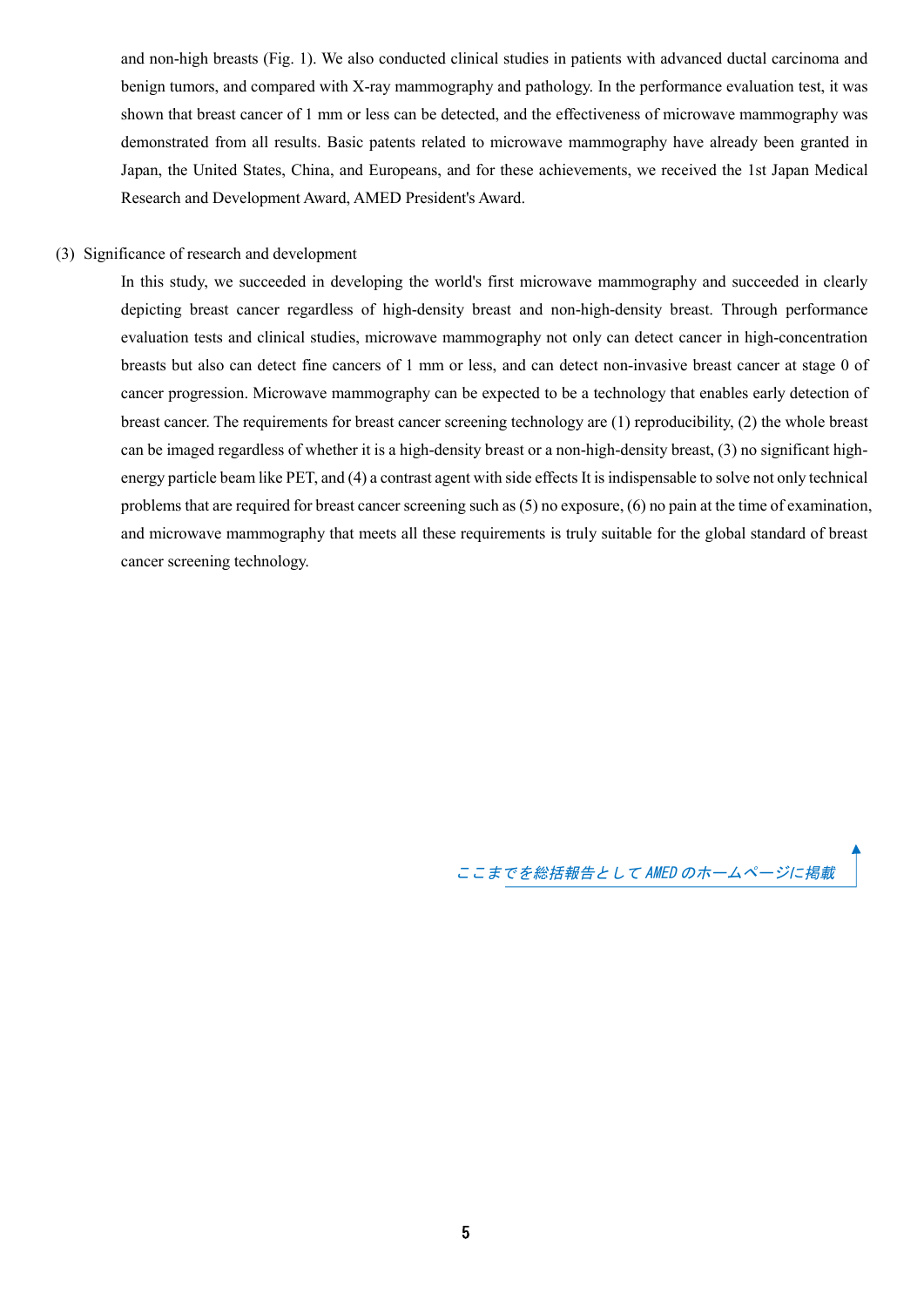and non-high breasts (Fig. 1). We also conducted clinical studies in patients with advanced ductal carcinoma and benign tumors, and compared with X-ray mammography and pathology. In the performance evaluation test, it was shown that breast cancer of 1 mm or less can be detected, and the effectiveness of microwave mammography was demonstrated from all results. Basic patents related to microwave mammography have already been granted in Japan, the United States, China, and Europeans, and for these achievements, we received the 1st Japan Medical Research and Development Award, AMED President's Award.

### (3) Significance of research and development

In this study, we succeeded in developing the world's first microwave mammography and succeeded in clearly depicting breast cancer regardless of high-density breast and non-high-density breast. Through performance evaluation tests and clinical studies, microwave mammography not only can detect cancer in high-concentration breasts but also can detect fine cancers of 1 mm or less, and can detect non-invasive breast cancer at stage 0 of cancer progression. Microwave mammography can be expected to be a technology that enables early detection of breast cancer. The requirements for breast cancer screening technology are (1) reproducibility, (2) the whole breast can be imaged regardless of whether it is a high-density breast or a non-high-density breast, (3) no significant highenergy particle beam like PET, and (4) a contrast agent with side effects It is indispensable to solve not only technical problems that are required for breast cancer screening such as (5) no exposure, (6) no pain at the time of examination, and microwave mammography that meets all these requirements is truly suitable for the global standard of breast cancer screening technology.

ここまでを総括報告として AMED のホームページに掲載